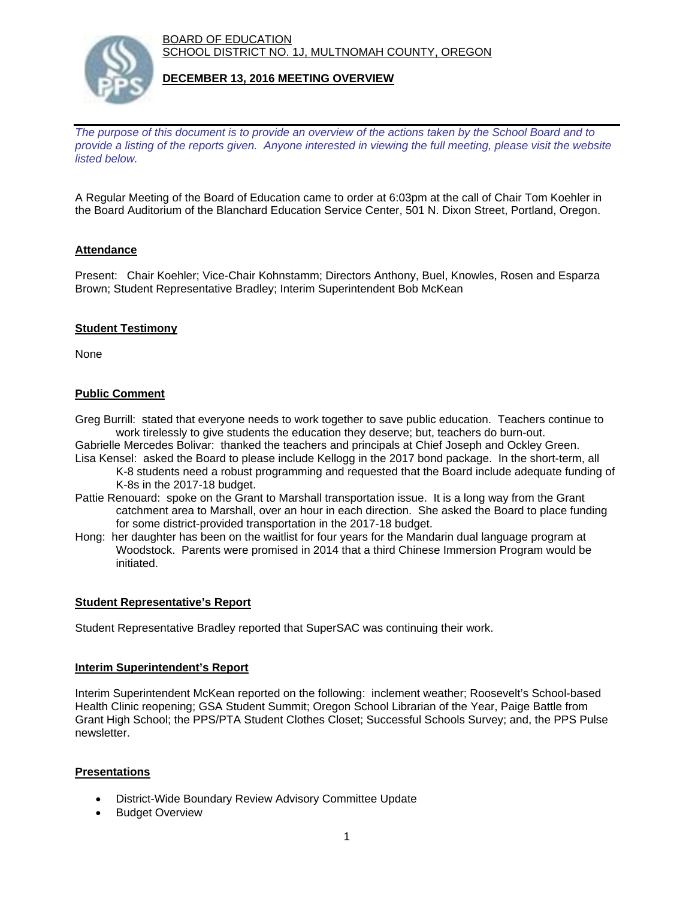BOARD OF EDUCATION SCHOOL DISTRICT NO. 1J, MULTNOMAH COUNTY, OREGON



# **DECEMBER 13, 2016 MEETING OVERVIEW**

*The purpose of this document is to provide an overview of the actions taken by the School Board and to provide a listing of the reports given. Anyone interested in viewing the full meeting, please visit the website listed below.*

A Regular Meeting of the Board of Education came to order at 6:03pm at the call of Chair Tom Koehler in the Board Auditorium of the Blanchard Education Service Center, 501 N. Dixon Street, Portland, Oregon.

# **Attendance**

Present: Chair Koehler; Vice-Chair Kohnstamm; Directors Anthony, Buel, Knowles, Rosen and Esparza Brown; Student Representative Bradley; Interim Superintendent Bob McKean

# **Student Testimony**

None

# **Public Comment**

Greg Burrill: stated that everyone needs to work together to save public education. Teachers continue to work tirelessly to give students the education they deserve; but, teachers do burn-out.

Gabrielle Mercedes Bolivar: thanked the teachers and principals at Chief Joseph and Ockley Green. Lisa Kensel: asked the Board to please include Kellogg in the 2017 bond package. In the short-term, all

- K-8 students need a robust programming and requested that the Board include adequate funding of K-8s in the 2017-18 budget.
- Pattie Renouard: spoke on the Grant to Marshall transportation issue. It is a long way from the Grant catchment area to Marshall, over an hour in each direction. She asked the Board to place funding for some district-provided transportation in the 2017-18 budget.
- Hong: her daughter has been on the waitlist for four years for the Mandarin dual language program at Woodstock. Parents were promised in 2014 that a third Chinese Immersion Program would be initiated.

# **Student Representative's Report**

Student Representative Bradley reported that SuperSAC was continuing their work.

# **Interim Superintendent's Report**

Interim Superintendent McKean reported on the following: inclement weather; Roosevelt's School-based Health Clinic reopening; GSA Student Summit; Oregon School Librarian of the Year, Paige Battle from Grant High School; the PPS/PTA Student Clothes Closet; Successful Schools Survey; and, the PPS Pulse newsletter.

# **Presentations**

- District-Wide Boundary Review Advisory Committee Update
- Budget Overview